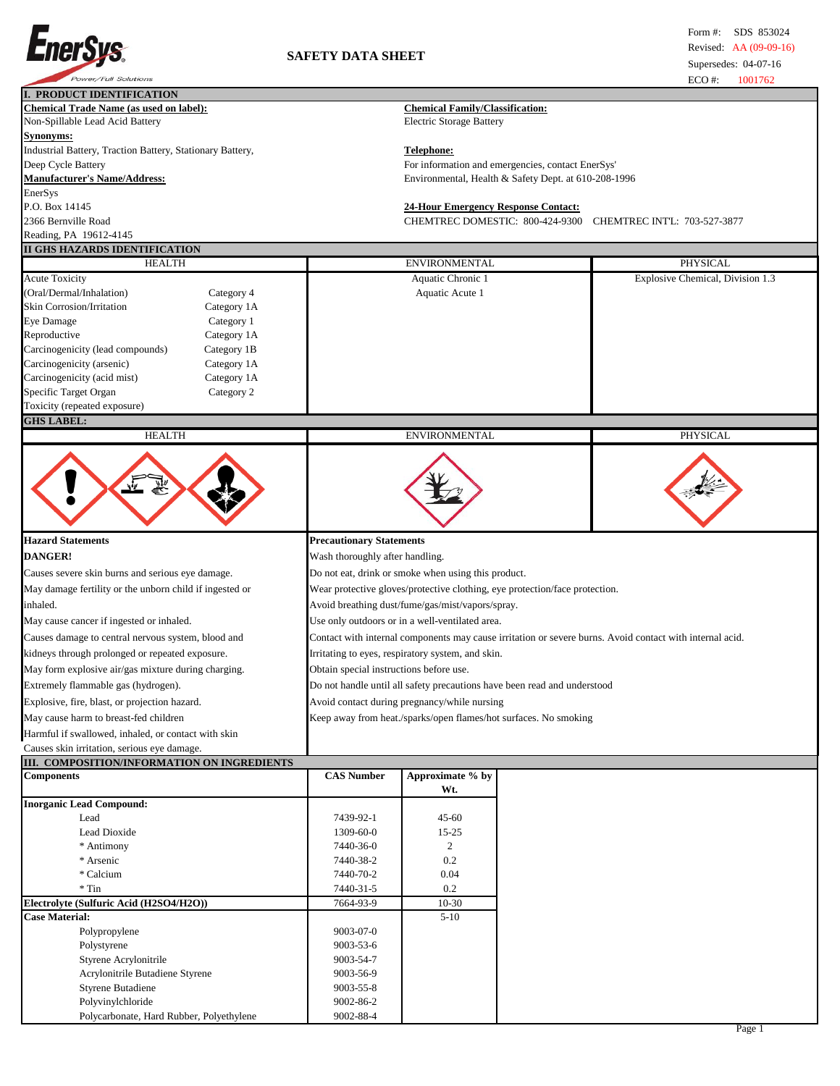

|                                                                                                                                                                                                                                                                                                                                                                                                                          |                                                                                                                                                                                                                                                                                                                                                                                                                                                                                                                                                                                                         |                                                      |                                                                  | ECO#:<br>1001702                 |  |  |
|--------------------------------------------------------------------------------------------------------------------------------------------------------------------------------------------------------------------------------------------------------------------------------------------------------------------------------------------------------------------------------------------------------------------------|---------------------------------------------------------------------------------------------------------------------------------------------------------------------------------------------------------------------------------------------------------------------------------------------------------------------------------------------------------------------------------------------------------------------------------------------------------------------------------------------------------------------------------------------------------------------------------------------------------|------------------------------------------------------|------------------------------------------------------------------|----------------------------------|--|--|
| I. PRODUCT IDENTIFICATION                                                                                                                                                                                                                                                                                                                                                                                                |                                                                                                                                                                                                                                                                                                                                                                                                                                                                                                                                                                                                         |                                                      |                                                                  |                                  |  |  |
| <b>Chemical Trade Name (as used on label):</b>                                                                                                                                                                                                                                                                                                                                                                           |                                                                                                                                                                                                                                                                                                                                                                                                                                                                                                                                                                                                         | <b>Chemical Family/Classification:</b>               |                                                                  |                                  |  |  |
| Non-Spillable Lead Acid Battery                                                                                                                                                                                                                                                                                                                                                                                          |                                                                                                                                                                                                                                                                                                                                                                                                                                                                                                                                                                                                         | <b>Electric Storage Battery</b>                      |                                                                  |                                  |  |  |
| Synonyms:                                                                                                                                                                                                                                                                                                                                                                                                                |                                                                                                                                                                                                                                                                                                                                                                                                                                                                                                                                                                                                         |                                                      |                                                                  |                                  |  |  |
| Industrial Battery, Traction Battery, Stationary Battery,                                                                                                                                                                                                                                                                                                                                                                |                                                                                                                                                                                                                                                                                                                                                                                                                                                                                                                                                                                                         | Telephone:                                           |                                                                  |                                  |  |  |
| Deep Cycle Battery                                                                                                                                                                                                                                                                                                                                                                                                       |                                                                                                                                                                                                                                                                                                                                                                                                                                                                                                                                                                                                         |                                                      | For information and emergencies, contact EnerSys'                |                                  |  |  |
| <b>Manufacturer's Name/Address:</b>                                                                                                                                                                                                                                                                                                                                                                                      |                                                                                                                                                                                                                                                                                                                                                                                                                                                                                                                                                                                                         | Environmental, Health & Safety Dept. at 610-208-1996 |                                                                  |                                  |  |  |
| EnerSys                                                                                                                                                                                                                                                                                                                                                                                                                  |                                                                                                                                                                                                                                                                                                                                                                                                                                                                                                                                                                                                         |                                                      |                                                                  |                                  |  |  |
| P.O. Box 14145                                                                                                                                                                                                                                                                                                                                                                                                           |                                                                                                                                                                                                                                                                                                                                                                                                                                                                                                                                                                                                         | <b>24-Hour Emergency Response Contact:</b>           |                                                                  |                                  |  |  |
| 2366 Bernville Road                                                                                                                                                                                                                                                                                                                                                                                                      |                                                                                                                                                                                                                                                                                                                                                                                                                                                                                                                                                                                                         |                                                      | CHEMTREC DOMESTIC: 800-424-9300                                  | CHEMTREC INTL: 703-527-3877      |  |  |
| Reading, PA 19612-4145                                                                                                                                                                                                                                                                                                                                                                                                   |                                                                                                                                                                                                                                                                                                                                                                                                                                                                                                                                                                                                         |                                                      |                                                                  |                                  |  |  |
| II GHS HAZARDS IDENTIFICATION                                                                                                                                                                                                                                                                                                                                                                                            |                                                                                                                                                                                                                                                                                                                                                                                                                                                                                                                                                                                                         |                                                      |                                                                  |                                  |  |  |
| <b>HEALTH</b>                                                                                                                                                                                                                                                                                                                                                                                                            |                                                                                                                                                                                                                                                                                                                                                                                                                                                                                                                                                                                                         | <b>ENVIRONMENTAL</b>                                 |                                                                  | PHYSICAL                         |  |  |
| <b>Acute Toxicity</b>                                                                                                                                                                                                                                                                                                                                                                                                    |                                                                                                                                                                                                                                                                                                                                                                                                                                                                                                                                                                                                         | Aquatic Chronic 1                                    |                                                                  | Explosive Chemical, Division 1.3 |  |  |
| (Oral/Dermal/Inhalation)<br>Category 4                                                                                                                                                                                                                                                                                                                                                                                   |                                                                                                                                                                                                                                                                                                                                                                                                                                                                                                                                                                                                         | Aquatic Acute 1                                      |                                                                  |                                  |  |  |
| Skin Corrosion/Irritation<br>Category 1A                                                                                                                                                                                                                                                                                                                                                                                 |                                                                                                                                                                                                                                                                                                                                                                                                                                                                                                                                                                                                         |                                                      |                                                                  |                                  |  |  |
| Eye Damage<br>Category 1                                                                                                                                                                                                                                                                                                                                                                                                 |                                                                                                                                                                                                                                                                                                                                                                                                                                                                                                                                                                                                         |                                                      |                                                                  |                                  |  |  |
| Reproductive<br>Category 1A                                                                                                                                                                                                                                                                                                                                                                                              |                                                                                                                                                                                                                                                                                                                                                                                                                                                                                                                                                                                                         |                                                      |                                                                  |                                  |  |  |
| Carcinogenicity (lead compounds)<br>Category 1B                                                                                                                                                                                                                                                                                                                                                                          |                                                                                                                                                                                                                                                                                                                                                                                                                                                                                                                                                                                                         |                                                      |                                                                  |                                  |  |  |
| Carcinogenicity (arsenic)<br>Category 1A                                                                                                                                                                                                                                                                                                                                                                                 |                                                                                                                                                                                                                                                                                                                                                                                                                                                                                                                                                                                                         |                                                      |                                                                  |                                  |  |  |
| Carcinogenicity (acid mist)<br>Category 1A                                                                                                                                                                                                                                                                                                                                                                               |                                                                                                                                                                                                                                                                                                                                                                                                                                                                                                                                                                                                         |                                                      |                                                                  |                                  |  |  |
| Specific Target Organ<br>Category 2                                                                                                                                                                                                                                                                                                                                                                                      |                                                                                                                                                                                                                                                                                                                                                                                                                                                                                                                                                                                                         |                                                      |                                                                  |                                  |  |  |
| Toxicity (repeated exposure)                                                                                                                                                                                                                                                                                                                                                                                             |                                                                                                                                                                                                                                                                                                                                                                                                                                                                                                                                                                                                         |                                                      |                                                                  |                                  |  |  |
| <b>GHS LABEL:</b>                                                                                                                                                                                                                                                                                                                                                                                                        |                                                                                                                                                                                                                                                                                                                                                                                                                                                                                                                                                                                                         |                                                      |                                                                  |                                  |  |  |
| <b>HEALTH</b>                                                                                                                                                                                                                                                                                                                                                                                                            |                                                                                                                                                                                                                                                                                                                                                                                                                                                                                                                                                                                                         | <b>ENVIRONMENTAL</b>                                 |                                                                  | PHYSICAL                         |  |  |
| <b>Hazard Statements</b><br><b>DANGER!</b><br>Causes severe skin burns and serious eye damage.<br>May damage fertility or the unborn child if ingested or<br>inhaled.<br>May cause cancer if ingested or inhaled.<br>Causes damage to central nervous system, blood and<br>kidneys through prolonged or repeated exposure.<br>May form explosive air/gas mixture during charging.<br>Extremely flammable gas (hydrogen). | <b>Precautionary Statements</b><br>Wash thoroughly after handling.<br>Do not eat, drink or smoke when using this product.<br>Wear protective gloves/protective clothing, eye protection/face protection.<br>Avoid breathing dust/fume/gas/mist/vapors/spray.<br>Use only outdoors or in a well-ventilated area.<br>Contact with internal components may cause irritation or severe burns. Avoid contact with internal acid.<br>Irritating to eyes, respiratory system, and skin.<br>Obtain special instructions before use.<br>Do not handle until all safety precautions have been read and understood |                                                      |                                                                  |                                  |  |  |
| Explosive, fire, blast, or projection hazard.                                                                                                                                                                                                                                                                                                                                                                            | Avoid contact during pregnancy/while nursing                                                                                                                                                                                                                                                                                                                                                                                                                                                                                                                                                            |                                                      |                                                                  |                                  |  |  |
| May cause harm to breast-fed children                                                                                                                                                                                                                                                                                                                                                                                    |                                                                                                                                                                                                                                                                                                                                                                                                                                                                                                                                                                                                         |                                                      | Keep away from heat./sparks/open flames/hot surfaces. No smoking |                                  |  |  |
| Harmful if swallowed, inhaled, or contact with skin                                                                                                                                                                                                                                                                                                                                                                      |                                                                                                                                                                                                                                                                                                                                                                                                                                                                                                                                                                                                         |                                                      |                                                                  |                                  |  |  |
| Causes skin irritation, serious eye damage.                                                                                                                                                                                                                                                                                                                                                                              |                                                                                                                                                                                                                                                                                                                                                                                                                                                                                                                                                                                                         |                                                      |                                                                  |                                  |  |  |
| III. COMPOSITION/INFORMATION ON INGREDIENTS                                                                                                                                                                                                                                                                                                                                                                              |                                                                                                                                                                                                                                                                                                                                                                                                                                                                                                                                                                                                         |                                                      |                                                                  |                                  |  |  |
| <b>Components</b>                                                                                                                                                                                                                                                                                                                                                                                                        | <b>CAS Number</b>                                                                                                                                                                                                                                                                                                                                                                                                                                                                                                                                                                                       | Approximate % by<br>Wt.                              |                                                                  |                                  |  |  |
| <b>Inorganic Lead Compound:</b>                                                                                                                                                                                                                                                                                                                                                                                          |                                                                                                                                                                                                                                                                                                                                                                                                                                                                                                                                                                                                         |                                                      |                                                                  |                                  |  |  |
| Lead                                                                                                                                                                                                                                                                                                                                                                                                                     | 7439-92-1                                                                                                                                                                                                                                                                                                                                                                                                                                                                                                                                                                                               | 45-60                                                |                                                                  |                                  |  |  |
| Lead Dioxide                                                                                                                                                                                                                                                                                                                                                                                                             | 1309-60-0                                                                                                                                                                                                                                                                                                                                                                                                                                                                                                                                                                                               | $15 - 25$                                            |                                                                  |                                  |  |  |
| * Antimony                                                                                                                                                                                                                                                                                                                                                                                                               | 7440-36-0                                                                                                                                                                                                                                                                                                                                                                                                                                                                                                                                                                                               | $\overline{c}$                                       |                                                                  |                                  |  |  |
| * Arsenic                                                                                                                                                                                                                                                                                                                                                                                                                | 7440-38-2                                                                                                                                                                                                                                                                                                                                                                                                                                                                                                                                                                                               | 0.2                                                  |                                                                  |                                  |  |  |
|                                                                                                                                                                                                                                                                                                                                                                                                                          |                                                                                                                                                                                                                                                                                                                                                                                                                                                                                                                                                                                                         |                                                      |                                                                  |                                  |  |  |
| * Calcium                                                                                                                                                                                                                                                                                                                                                                                                                | 7440-70-2                                                                                                                                                                                                                                                                                                                                                                                                                                                                                                                                                                                               | 0.04                                                 |                                                                  |                                  |  |  |
| $*$ Tin                                                                                                                                                                                                                                                                                                                                                                                                                  | 7440-31-5                                                                                                                                                                                                                                                                                                                                                                                                                                                                                                                                                                                               | 0.2                                                  |                                                                  |                                  |  |  |
| Electrolyte (Sulfuric Acid (H2SO4/H2O))                                                                                                                                                                                                                                                                                                                                                                                  | 7664-93-9                                                                                                                                                                                                                                                                                                                                                                                                                                                                                                                                                                                               | $10-30$                                              |                                                                  |                                  |  |  |
| <b>Case Material:</b>                                                                                                                                                                                                                                                                                                                                                                                                    |                                                                                                                                                                                                                                                                                                                                                                                                                                                                                                                                                                                                         | $5-10$                                               |                                                                  |                                  |  |  |
| Polypropylene                                                                                                                                                                                                                                                                                                                                                                                                            | 9003-07-0                                                                                                                                                                                                                                                                                                                                                                                                                                                                                                                                                                                               |                                                      |                                                                  |                                  |  |  |
| Polystyrene                                                                                                                                                                                                                                                                                                                                                                                                              | 9003-53-6                                                                                                                                                                                                                                                                                                                                                                                                                                                                                                                                                                                               |                                                      |                                                                  |                                  |  |  |

Styrene Acrylonitrile 19003-54-7 Acrylonitrile Butadiene Styrene 9003-56-9 Styrene Butadiene 9003-55-8 Polyvinylchloride 9002-86-2 Polycarbonate, Hard Rubber, Polyethylene 9002-88-4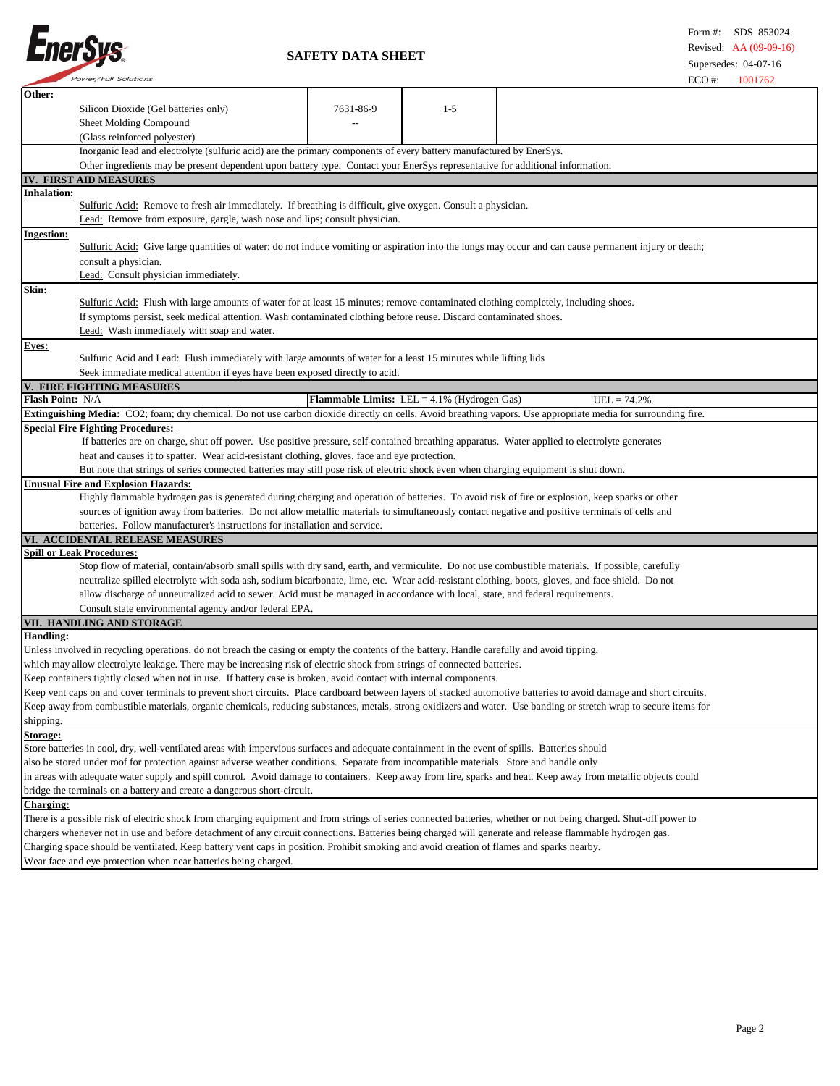

 **SAFETY DATA SHEET**

| <i>"ower/rull solutions</i>                                                                                                                                                |           |                                                       | $ECO \#$<br>1001762 |  |  |
|----------------------------------------------------------------------------------------------------------------------------------------------------------------------------|-----------|-------------------------------------------------------|---------------------|--|--|
| Other:                                                                                                                                                                     |           |                                                       |                     |  |  |
| Silicon Dioxide (Gel batteries only)                                                                                                                                       | 7631-86-9 | $1 - 5$                                               |                     |  |  |
| Sheet Molding Compound                                                                                                                                                     |           |                                                       |                     |  |  |
| (Glass reinforced polyester)                                                                                                                                               |           |                                                       |                     |  |  |
| Inorganic lead and electrolyte (sulfuric acid) are the primary components of every battery manufactured by EnerSys.                                                        |           |                                                       |                     |  |  |
| Other ingredients may be present dependent upon battery type. Contact your EnerSys representative for additional information.                                              |           |                                                       |                     |  |  |
| IV. FIRST AID MEASURES                                                                                                                                                     |           |                                                       |                     |  |  |
| nhalation:                                                                                                                                                                 |           |                                                       |                     |  |  |
| Sulfuric Acid: Remove to fresh air immediately. If breathing is difficult, give oxygen. Consult a physician.                                                               |           |                                                       |                     |  |  |
| Lead: Remove from exposure, gargle, wash nose and lips; consult physician.                                                                                                 |           |                                                       |                     |  |  |
|                                                                                                                                                                            |           |                                                       |                     |  |  |
| <b>Ingestion:</b><br>Sulfuric Acid: Give large quantities of water; do not induce vomiting or aspiration into the lungs may occur and can cause permanent injury or death; |           |                                                       |                     |  |  |
|                                                                                                                                                                            |           |                                                       |                     |  |  |
| consult a physician.                                                                                                                                                       |           |                                                       |                     |  |  |
| Lead: Consult physician immediately.                                                                                                                                       |           |                                                       |                     |  |  |
| Skin:                                                                                                                                                                      |           |                                                       |                     |  |  |
| Sulfuric Acid: Flush with large amounts of water for at least 15 minutes; remove contaminated clothing completely, including shoes.                                        |           |                                                       |                     |  |  |
| If symptoms persist, seek medical attention. Wash contaminated clothing before reuse. Discard contaminated shoes.                                                          |           |                                                       |                     |  |  |
| Lead: Wash immediately with soap and water.                                                                                                                                |           |                                                       |                     |  |  |
| <b>Eyes:</b>                                                                                                                                                               |           |                                                       |                     |  |  |
| Sulfuric Acid and Lead: Flush immediately with large amounts of water for a least 15 minutes while lifting lids                                                            |           |                                                       |                     |  |  |
| Seek immediate medical attention if eyes have been exposed directly to acid.                                                                                               |           |                                                       |                     |  |  |
| V. FIRE FIGHTING MEASURES                                                                                                                                                  |           |                                                       |                     |  |  |
| Flash Point: N/A                                                                                                                                                           |           | <b>Flammable Limits:</b> LEL = $4.1\%$ (Hydrogen Gas) | $UEL = 74.2%$       |  |  |
| Extinguishing Media: CO2; foam; dry chemical. Do not use carbon dioxide directly on cells. Avoid breathing vapors. Use appropriate media for surrounding fire.             |           |                                                       |                     |  |  |
| <b>Special Fire Fighting Procedures:</b>                                                                                                                                   |           |                                                       |                     |  |  |
| If batteries are on charge, shut off power. Use positive pressure, self-contained breathing apparatus. Water applied to electrolyte generates                              |           |                                                       |                     |  |  |
| heat and causes it to spatter. Wear acid-resistant clothing, gloves, face and eye protection.                                                                              |           |                                                       |                     |  |  |
| But note that strings of series connected batteries may still pose risk of electric shock even when charging equipment is shut down.                                       |           |                                                       |                     |  |  |
| <b>Jnusual Fire and Explosion Hazards:</b>                                                                                                                                 |           |                                                       |                     |  |  |
| Highly flammable hydrogen gas is generated during charging and operation of batteries. To avoid risk of fire or explosion, keep sparks or other                            |           |                                                       |                     |  |  |
| sources of ignition away from batteries. Do not allow metallic materials to simultaneously contact negative and positive terminals of cells and                            |           |                                                       |                     |  |  |
| batteries. Follow manufacturer's instructions for installation and service.                                                                                                |           |                                                       |                     |  |  |
| VI. ACCIDENTAL RELEASE MEASURES                                                                                                                                            |           |                                                       |                     |  |  |
| <b>Spill or Leak Procedures:</b>                                                                                                                                           |           |                                                       |                     |  |  |
| Stop flow of material, contain/absorb small spills with dry sand, earth, and vermiculite. Do not use combustible materials. If possible, carefully                         |           |                                                       |                     |  |  |
| neutralize spilled electrolyte with soda ash, sodium bicarbonate, lime, etc. Wear acid-resistant clothing, boots, gloves, and face shield. Do not                          |           |                                                       |                     |  |  |
|                                                                                                                                                                            |           |                                                       |                     |  |  |
| allow discharge of unneutralized acid to sewer. Acid must be managed in accordance with local, state, and federal requirements.                                            |           |                                                       |                     |  |  |
| Consult state environmental agency and/or federal EPA.                                                                                                                     |           |                                                       |                     |  |  |
| VII. HANDLING AND STORAGE<br><b>Handling:</b>                                                                                                                              |           |                                                       |                     |  |  |
|                                                                                                                                                                            |           |                                                       |                     |  |  |
| Unless involved in recycling operations, do not breach the casing or empty the contents of the battery. Handle carefully and avoid tipping,                                |           |                                                       |                     |  |  |
| which may allow electrolyte leakage. There may be increasing risk of electric shock from strings of connected batteries.                                                   |           |                                                       |                     |  |  |
| Keep containers tightly closed when not in use. If battery case is broken, avoid contact with internal components.                                                         |           |                                                       |                     |  |  |
| Keep vent caps on and cover terminals to prevent short circuits. Place cardboard between layers of stacked automotive batteries to avoid damage and short circuits.        |           |                                                       |                     |  |  |
| Keep away from combustible materials, organic chemicals, reducing substances, metals, strong oxidizers and water. Use banding or stretch wrap to secure items for          |           |                                                       |                     |  |  |
| shipping.                                                                                                                                                                  |           |                                                       |                     |  |  |
| Storage:                                                                                                                                                                   |           |                                                       |                     |  |  |
| Store batteries in cool, dry, well-ventilated areas with impervious surfaces and adequate containment in the event of spills. Batteries should                             |           |                                                       |                     |  |  |
| also be stored under roof for protection against adverse weather conditions. Separate from incompatible materials. Store and handle only                                   |           |                                                       |                     |  |  |
| in areas with adequate water supply and spill control. Avoid damage to containers. Keep away from fire, sparks and heat. Keep away from metallic objects could             |           |                                                       |                     |  |  |
| bridge the terminals on a battery and create a dangerous short-circuit.                                                                                                    |           |                                                       |                     |  |  |
| <b>Charging:</b>                                                                                                                                                           |           |                                                       |                     |  |  |
| There is a possible risk of electric shock from charging equipment and from strings of series connected batteries, whether or not being charged. Shut-off power to         |           |                                                       |                     |  |  |
| chargers whenever not in use and before detachment of any circuit connections. Batteries being charged will generate and release flammable hydrogen gas.                   |           |                                                       |                     |  |  |
| Charging space should be ventilated. Keep battery vent caps in position. Prohibit smoking and avoid creation of flames and sparks nearby.                                  |           |                                                       |                     |  |  |
| Wear face and eye protection when near batteries being charged.                                                                                                            |           |                                                       |                     |  |  |
|                                                                                                                                                                            |           |                                                       |                     |  |  |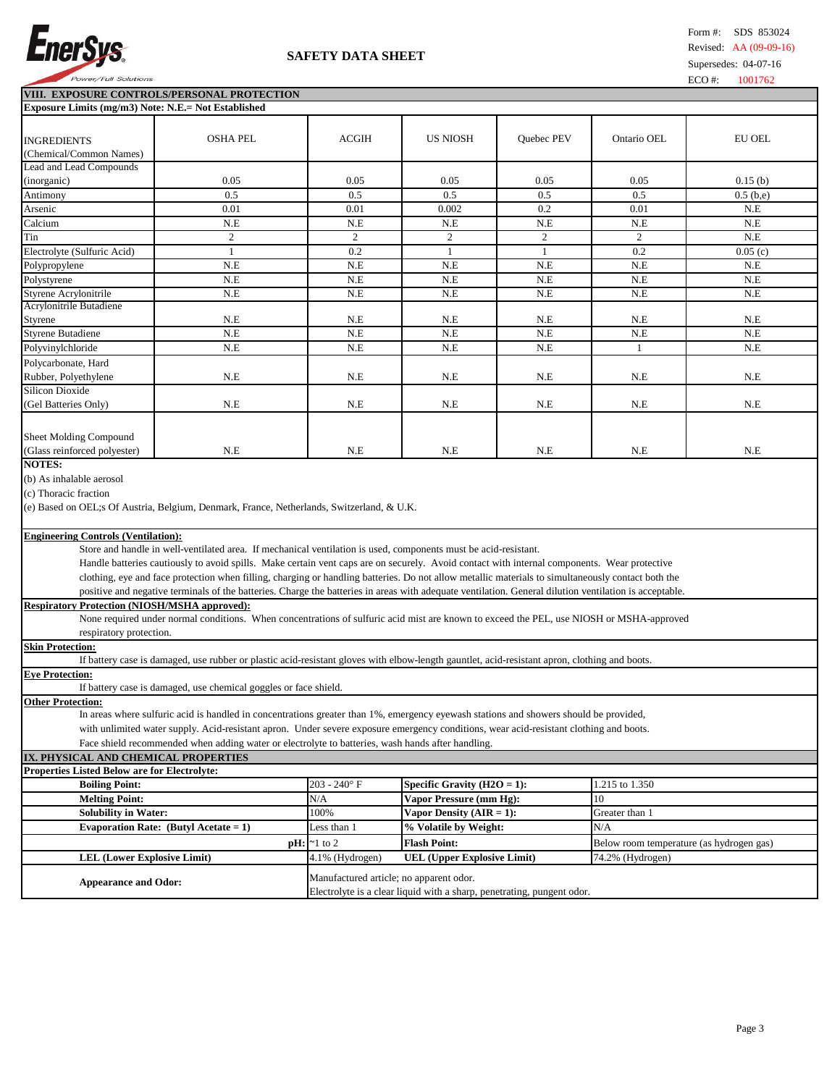

## **SAFETY DATA SHEET**

**VIII. EXPOSURE CONTROLS/PERSONAL PROTECTION Exposure Limits (mg/m3) Note: N.E.= Not Established**

| <b>INGREDIENTS</b>                                                                                                                                                  | <b>OSHA PEL</b>                                                                                                                                        | <b>ACGIH</b>    | <b>US NIOSH</b>                    | Quebec PEV     | Ontario OEL                              | EU OEL      |  |
|---------------------------------------------------------------------------------------------------------------------------------------------------------------------|--------------------------------------------------------------------------------------------------------------------------------------------------------|-----------------|------------------------------------|----------------|------------------------------------------|-------------|--|
| (Chemical/Common Names)                                                                                                                                             |                                                                                                                                                        |                 |                                    |                |                                          |             |  |
| Lead and Lead Compounds                                                                                                                                             |                                                                                                                                                        |                 |                                    |                |                                          |             |  |
| (inorganic)                                                                                                                                                         | 0.05                                                                                                                                                   | 0.05            | 0.05                               | 0.05           | 0.05                                     | 0.15(b)     |  |
| Antimony                                                                                                                                                            | 0.5                                                                                                                                                    | 0.5             | 0.5                                | 0.5            | 0.5                                      | $0.5$ (b,e) |  |
| Arsenic                                                                                                                                                             | 0.01                                                                                                                                                   | 0.01            | 0.002                              | 0.2            | 0.01                                     | N.E         |  |
| Calcium                                                                                                                                                             | N.E                                                                                                                                                    | N.E             | N.E                                | N.E            | N.E                                      | N.E         |  |
| Tin                                                                                                                                                                 | 2                                                                                                                                                      | 2               | $\boldsymbol{2}$                   | $\overline{2}$ | 2                                        | N.E         |  |
| Electrolyte (Sulfuric Acid)                                                                                                                                         | 1                                                                                                                                                      | 0.2             | 1                                  | 1              | 0.2                                      | 0.05(c)     |  |
| Polypropylene                                                                                                                                                       | N.E                                                                                                                                                    | N.E             | N.E                                | N.E            | N.E                                      | N.E         |  |
| Polystyrene                                                                                                                                                         | N.E                                                                                                                                                    | N.E             | N.E                                | N.E            | N.E                                      | N.E         |  |
| Styrene Acrylonitrile<br>Acrylonitrile Butadiene                                                                                                                    | N.E                                                                                                                                                    | N.E             | N.E                                | N.E            | N.E                                      | N.E         |  |
| Styrene                                                                                                                                                             | N.E                                                                                                                                                    | N.E             | N.E                                | N.E            | N.E                                      | N.E         |  |
| Styrene Butadiene                                                                                                                                                   | N.E                                                                                                                                                    | N.E             | N.E                                | N.E            | N.E                                      | N.E         |  |
| Polyvinylchloride                                                                                                                                                   | N.E                                                                                                                                                    | N.E             | N.E                                | N.E            | 1                                        | N.E         |  |
| Polycarbonate, Hard                                                                                                                                                 |                                                                                                                                                        |                 |                                    |                |                                          |             |  |
| Rubber, Polyethylene                                                                                                                                                | N.E                                                                                                                                                    | N.E             | N.E                                | N.E            | N.E                                      | N.E         |  |
| <b>Silicon Dioxide</b>                                                                                                                                              |                                                                                                                                                        |                 |                                    |                |                                          |             |  |
| (Gel Batteries Only)                                                                                                                                                | N.E                                                                                                                                                    | N.E             | N.E                                | N.E            | N.E                                      | N.E         |  |
|                                                                                                                                                                     |                                                                                                                                                        |                 |                                    |                |                                          |             |  |
|                                                                                                                                                                     |                                                                                                                                                        |                 |                                    |                |                                          |             |  |
| <b>Sheet Molding Compound</b>                                                                                                                                       |                                                                                                                                                        |                 |                                    |                |                                          |             |  |
| (Glass reinforced polyester)<br><b>NOTES:</b>                                                                                                                       | N.E                                                                                                                                                    | N.E             | N.E                                | N.E            | N.E                                      | N.E         |  |
|                                                                                                                                                                     |                                                                                                                                                        |                 |                                    |                |                                          |             |  |
| (b) As inhalable aerosol                                                                                                                                            |                                                                                                                                                        |                 |                                    |                |                                          |             |  |
| (c) Thoracic fraction                                                                                                                                               |                                                                                                                                                        |                 |                                    |                |                                          |             |  |
|                                                                                                                                                                     | (e) Based on OEL; SOf Austria, Belgium, Denmark, France, Netherlands, Switzerland, & U.K.                                                              |                 |                                    |                |                                          |             |  |
|                                                                                                                                                                     |                                                                                                                                                        |                 |                                    |                |                                          |             |  |
| <b>Engineering Controls (Ventilation):</b><br>Store and handle in well-ventilated area. If mechanical ventilation is used, components must be acid-resistant.       |                                                                                                                                                        |                 |                                    |                |                                          |             |  |
| Handle batteries cautiously to avoid spills. Make certain vent caps are on securely. Avoid contact with internal components. Wear protective                        |                                                                                                                                                        |                 |                                    |                |                                          |             |  |
|                                                                                                                                                                     | clothing, eye and face protection when filling, charging or handling batteries. Do not allow metallic materials to simultaneously contact both the     |                 |                                    |                |                                          |             |  |
|                                                                                                                                                                     | positive and negative terminals of the batteries. Charge the batteries in areas with adequate ventilation. General dilution ventilation is acceptable. |                 |                                    |                |                                          |             |  |
| <b>Respiratory Protection (NIOSH/MSHA approved):</b>                                                                                                                |                                                                                                                                                        |                 |                                    |                |                                          |             |  |
|                                                                                                                                                                     |                                                                                                                                                        |                 |                                    |                |                                          |             |  |
| None required under normal conditions. When concentrations of sulfuric acid mist are known to exceed the PEL, use NIOSH or MSHA-approved<br>respiratory protection. |                                                                                                                                                        |                 |                                    |                |                                          |             |  |
| <b>Skin Protection:</b>                                                                                                                                             |                                                                                                                                                        |                 |                                    |                |                                          |             |  |
|                                                                                                                                                                     | If battery case is damaged, use rubber or plastic acid-resistant gloves with elbow-length gauntlet, acid-resistant apron, clothing and boots.          |                 |                                    |                |                                          |             |  |
| <b>Eye Protection:</b>                                                                                                                                              |                                                                                                                                                        |                 |                                    |                |                                          |             |  |
|                                                                                                                                                                     | If battery case is damaged, use chemical goggles or face shield.                                                                                       |                 |                                    |                |                                          |             |  |
| <b>Other Protection:</b>                                                                                                                                            |                                                                                                                                                        |                 |                                    |                |                                          |             |  |
|                                                                                                                                                                     | In areas where sulfuric acid is handled in concentrations greater than 1%, emergency eyewash stations and showers should be provided,                  |                 |                                    |                |                                          |             |  |
|                                                                                                                                                                     | with unlimited water supply. Acid-resistant apron. Under severe exposure emergency conditions, wear acid-resistant clothing and boots.                 |                 |                                    |                |                                          |             |  |
| Face shield recommended when adding water or electrolyte to batteries, wash hands after handling.                                                                   |                                                                                                                                                        |                 |                                    |                |                                          |             |  |
| IX. PHYSICAL AND CHEMICAL PROPERTIES                                                                                                                                |                                                                                                                                                        |                 |                                    |                |                                          |             |  |
| Properties Listed Below are for Electrolyte:                                                                                                                        |                                                                                                                                                        |                 |                                    |                |                                          |             |  |
| <b>Boiling Point:</b>                                                                                                                                               |                                                                                                                                                        | $203 - 240$ °F  | Specific Gravity $(H2O = 1)$ :     |                | 1.215 to 1.350                           |             |  |
| <b>Melting Point:</b>                                                                                                                                               |                                                                                                                                                        | N/A             | Vapor Pressure (mm Hg):<br>10      |                |                                          |             |  |
| <b>Solubility in Water:</b>                                                                                                                                         |                                                                                                                                                        | 100%            | Vapor Density $(AIR = 1)$ :        |                | Greater than 1                           |             |  |
|                                                                                                                                                                     | Evaporation Rate: (Butyl Acetate = $1$ )                                                                                                               | Less than 1     | % Volatile by Weight:              |                | N/A                                      |             |  |
|                                                                                                                                                                     | pH:                                                                                                                                                    | $\sim$ 1 to 2   | <b>Flash Point:</b>                |                | Below room temperature (as hydrogen gas) |             |  |
| <b>LEL (Lower Explosive Limit)</b>                                                                                                                                  |                                                                                                                                                        | 4.1% (Hydrogen) | <b>UEL (Upper Explosive Limit)</b> |                | 74.2% (Hydrogen)                         |             |  |
|                                                                                                                                                                     | Manufactured article; no apparent odor.                                                                                                                |                 |                                    |                |                                          |             |  |
| <b>Appearance and Odor:</b><br>Electrolyte is a clear liquid with a sharp, penetrating, pungent odor.                                                               |                                                                                                                                                        |                 |                                    |                |                                          |             |  |
|                                                                                                                                                                     |                                                                                                                                                        |                 |                                    |                |                                          |             |  |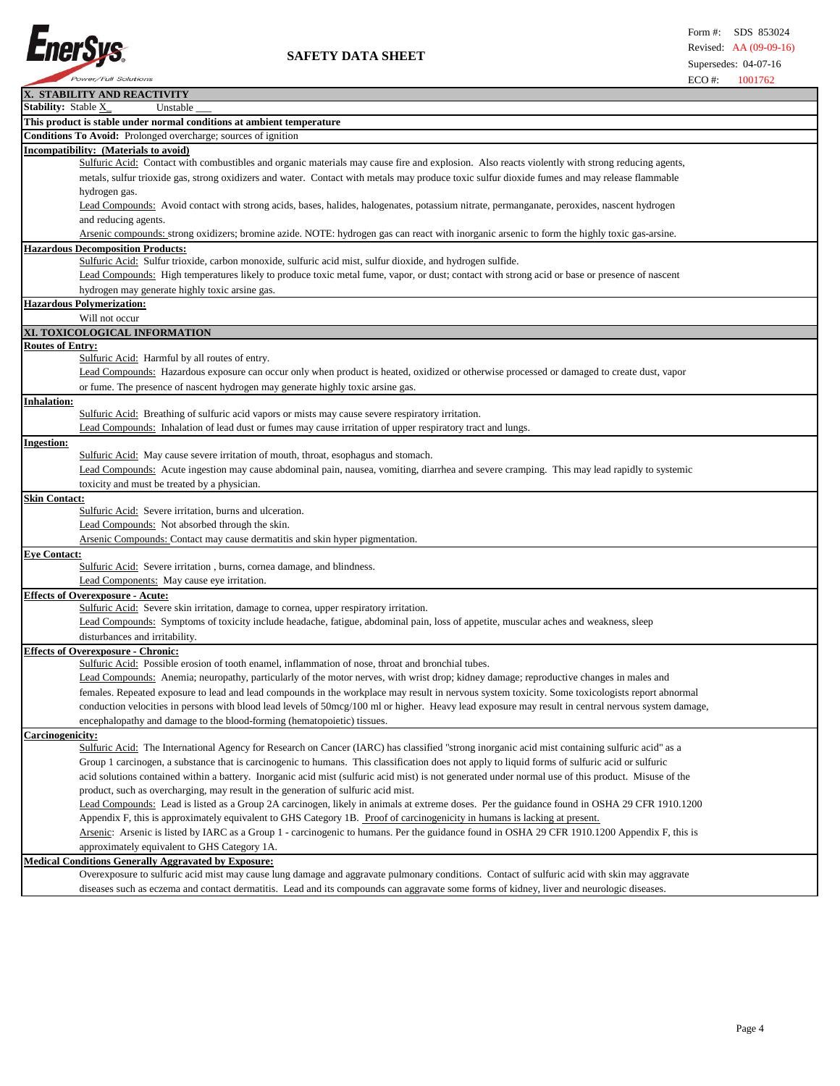

| X. STABILITY AND REACTIVITY                                                                                                                                          |
|----------------------------------------------------------------------------------------------------------------------------------------------------------------------|
| Stability: Stable X<br>Unstable                                                                                                                                      |
| This product is stable under normal conditions at ambient temperature                                                                                                |
| Conditions To Avoid: Prolonged overcharge; sources of ignition                                                                                                       |
| (ncompatibility: (Materials to avoid)                                                                                                                                |
| Sulfuric Acid: Contact with combustibles and organic materials may cause fire and explosion. Also reacts violently with strong reducing agents,                      |
| metals, sulfur trioxide gas, strong oxidizers and water. Contact with metals may produce toxic sulfur dioxide fumes and may release flammable                        |
|                                                                                                                                                                      |
| hydrogen gas.                                                                                                                                                        |
| Lead Compounds: Avoid contact with strong acids, bases, halides, halogenates, potassium nitrate, permanganate, peroxides, nascent hydrogen                           |
| and reducing agents.<br>Arsenic compounds: strong oxidizers; bromine azide. NOTE: hydrogen gas can react with inorganic arsenic to form the highly toxic gas-arsine. |
|                                                                                                                                                                      |
| <b>Hazardous Decomposition Products:</b><br>Sulfuric Acid: Sulfur trioxide, carbon monoxide, sulfuric acid mist, sulfur dioxide, and hydrogen sulfide.               |
|                                                                                                                                                                      |
| Lead Compounds: High temperatures likely to produce toxic metal fume, vapor, or dust; contact with strong acid or base or presence of nascent                        |
| hydrogen may generate highly toxic arsine gas.                                                                                                                       |
| <b>Hazardous Polymerization:</b>                                                                                                                                     |
| Will not occur                                                                                                                                                       |
| XI. TOXICOLOGICAL INFORMATION                                                                                                                                        |
| <b>Routes of Entry:</b>                                                                                                                                              |
| Sulfuric Acid: Harmful by all routes of entry.                                                                                                                       |
| Lead Compounds: Hazardous exposure can occur only when product is heated, oxidized or otherwise processed or damaged to create dust, vapor                           |
| or fume. The presence of nascent hydrogen may generate highly toxic arsine gas.                                                                                      |
| <b>Inhalation:</b>                                                                                                                                                   |
| Sulfuric Acid: Breathing of sulfuric acid vapors or mists may cause severe respiratory irritation.                                                                   |
| Lead Compounds: Inhalation of lead dust or fumes may cause irritation of upper respiratory tract and lungs.                                                          |
| <b>Ingestion:</b>                                                                                                                                                    |
| Sulfuric Acid: May cause severe irritation of mouth, throat, esophagus and stomach.                                                                                  |
| Lead Compounds: Acute ingestion may cause abdominal pain, nausea, vomiting, diarrhea and severe cramping. This may lead rapidly to systemic                          |
| toxicity and must be treated by a physician.                                                                                                                         |
| <b>Skin Contact:</b>                                                                                                                                                 |
| Sulfuric Acid: Severe irritation, burns and ulceration.                                                                                                              |
| Lead Compounds: Not absorbed through the skin.                                                                                                                       |
| Arsenic Compounds: Contact may cause dermatitis and skin hyper pigmentation.                                                                                         |
| <b>Eye Contact:</b>                                                                                                                                                  |
| Sulfuric Acid: Severe irritation, burns, cornea damage, and blindness.                                                                                               |
| Lead Components: May cause eye irritation.                                                                                                                           |
| <b>Effects of Overexposure - Acute:</b>                                                                                                                              |
| Sulfuric Acid: Severe skin irritation, damage to cornea, upper respiratory irritation.                                                                               |
| Lead Compounds: Symptoms of toxicity include headache, fatigue, abdominal pain, loss of appetite, muscular aches and weakness, sleep                                 |
| disturbances and irritability.                                                                                                                                       |
| <b>Effects of Overexposure - Chronic:</b>                                                                                                                            |
| Sulfuric Acid: Possible erosion of tooth enamel, inflammation of nose, throat and bronchial tubes.                                                                   |
| Lead Compounds: Anemia; neuropathy, particularly of the motor nerves, with wrist drop; kidney damage; reproductive changes in males and                              |
| females. Repeated exposure to lead and lead compounds in the workplace may result in nervous system toxicity. Some toxicologists report abnormal                     |
| conduction velocities in persons with blood lead levels of 50mcg/100 ml or higher. Heavy lead exposure may result in central nervous system damage,                  |
| encephalopathy and damage to the blood-forming (hematopoietic) tissues.                                                                                              |
| Carcinogenicity:                                                                                                                                                     |
| Sulfuric Acid: The International Agency for Research on Cancer (IARC) has classified "strong inorganic acid mist containing sulfuric acid" as a                      |
| Group 1 carcinogen, a substance that is carcinogenic to humans. This classification does not apply to liquid forms of sulfuric acid or sulfuric                      |
| acid solutions contained within a battery. Inorganic acid mist (sulfuric acid mist) is not generated under normal use of this product. Misuse of the                 |
| product, such as overcharging, may result in the generation of sulfuric acid mist.                                                                                   |
| Lead Compounds: Lead is listed as a Group 2A carcinogen, likely in animals at extreme doses. Per the guidance found in OSHA 29 CFR 1910.1200                         |
| Appendix F, this is approximately equivalent to GHS Category 1B. Proof of carcinogenicity in humans is lacking at present.                                           |
| Arsenic: Arsenic is listed by IARC as a Group 1 - carcinogenic to humans. Per the guidance found in OSHA 29 CFR 1910.1200 Appendix F, this is                        |
| approximately equivalent to GHS Category 1A.                                                                                                                         |
| <b>Medical Conditions Generally Aggravated by Exposure:</b>                                                                                                          |
| Overexposure to sulfuric acid mist may cause lung damage and aggravate pulmonary conditions. Contact of sulfuric acid with skin may aggravate                        |
|                                                                                                                                                                      |

diseases such as eczema and contact dermatitis. Lead and its compounds can aggravate some forms of kidney, liver and neurologic diseases.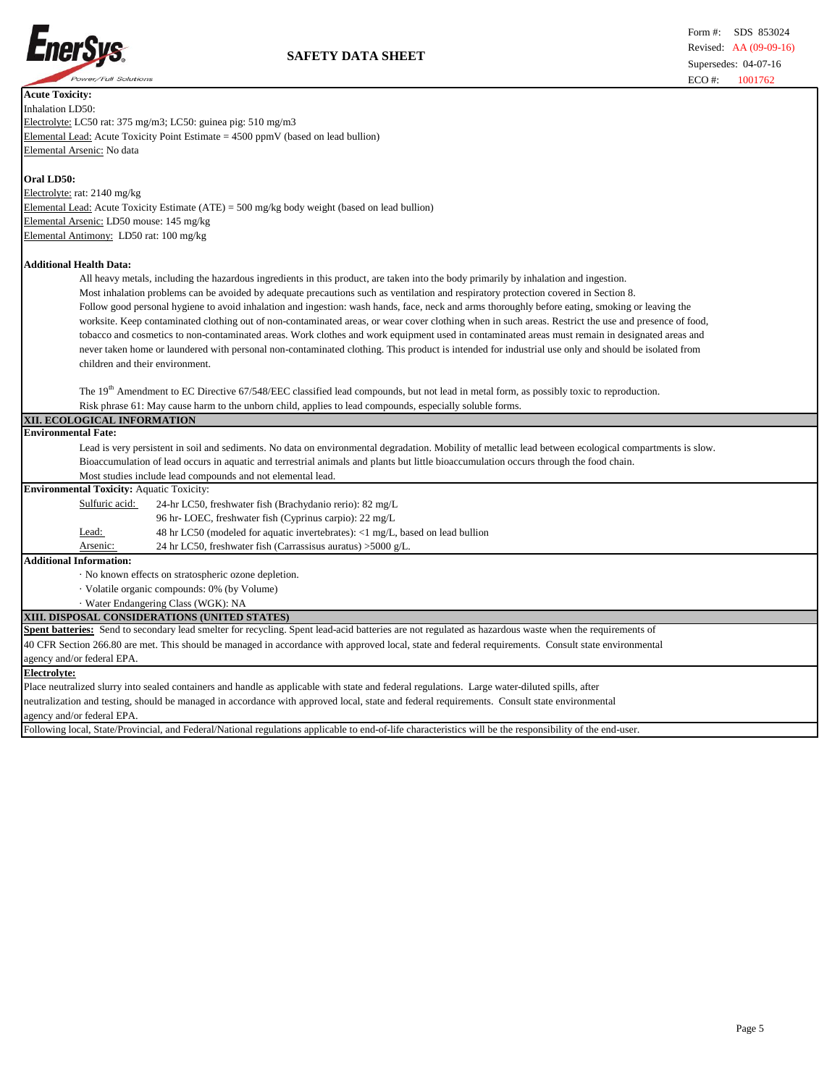

| <b>Acute Toxicity:</b>                                                                                                                                  |
|---------------------------------------------------------------------------------------------------------------------------------------------------------|
| Inhalation LD50:                                                                                                                                        |
| Electrolyte: LC50 rat: 375 mg/m3; LC50: guinea pig: 510 mg/m3                                                                                           |
| Elemental Lead: Acute Toxicity Point Estimate = 4500 ppmV (based on lead bullion)                                                                       |
| Elemental Arsenic: No data                                                                                                                              |
| Oral LD50:                                                                                                                                              |
| Electrolyte: rat: 2140 mg/kg                                                                                                                            |
| Elemental Lead: Acute Toxicity Estimate (ATE) = 500 mg/kg body weight (based on lead bullion)                                                           |
| Elemental Arsenic: LD50 mouse: 145 mg/kg                                                                                                                |
| Elemental Antimony: LD50 rat: 100 mg/kg                                                                                                                 |
| <b>Additional Health Data:</b>                                                                                                                          |
| All heavy metals, including the hazardous ingredients in this product, are taken into the body primarily by inhalation and ingestion.                   |
| Most inhalation problems can be avoided by adequate precautions such as ventilation and respiratory protection covered in Section 8.                    |
| Follow good personal hygiene to avoid inhalation and ingestion: wash hands, face, neck and arms thoroughly before eating, smoking or leaving the        |
| worksite. Keep contaminated clothing out of non-contaminated areas, or wear cover clothing when in such areas. Restrict the use and presence of food,   |
| tobacco and cosmetics to non-contaminated areas. Work clothes and work equipment used in contaminated areas must remain in designated areas and         |
| never taken home or laundered with personal non-contaminated clothing. This product is intended for industrial use only and should be isolated from     |
| children and their environment.                                                                                                                         |
|                                                                                                                                                         |
| The 19 <sup>th</sup> Amendment to EC Directive 67/548/EEC classified lead compounds, but not lead in metal form, as possibly toxic to reproduction.     |
| Risk phrase 61: May cause harm to the unborn child, applies to lead compounds, especially soluble forms.                                                |
| XII. ECOLOGICAL INFORMATION                                                                                                                             |
| <b>Environmental Fate:</b>                                                                                                                              |
| Lead is very persistent in soil and sediments. No data on environmental degradation. Mobility of metallic lead between ecological compartments is slow. |
| Bioaccumulation of lead occurs in aquatic and terrestrial animals and plants but little bioaccumulation occurs through the food chain.                  |
| Most studies include lead compounds and not elemental lead.                                                                                             |
| <b>Environmental Toxicity: Aquatic Toxicity:</b>                                                                                                        |
| Sulfuric acid:<br>24-hr LC50, freshwater fish (Brachydanio rerio): 82 mg/L                                                                              |
| 96 hr-LOEC, freshwater fish (Cyprinus carpio): 22 mg/L                                                                                                  |
| 48 hr LC50 (modeled for aquatic invertebrates): <1 mg/L, based on lead bullion<br>Lead:                                                                 |
| Arsenic:<br>24 hr LC50, freshwater fish (Carrassisus auratus) > $5000$ g/L.                                                                             |
| <b>Additional Information:</b>                                                                                                                          |
| · No known effects on stratospheric ozone depletion.                                                                                                    |
| · Volatile organic compounds: 0% (by Volume)                                                                                                            |
| · Water Endangering Class (WGK): NA                                                                                                                     |
| XIII. DISPOSAL CONSIDERATIONS (UNITED STATES)                                                                                                           |
| Spent batteries: Send to secondary lead smelter for recycling. Spent lead-acid batteries are not regulated as hazardous waste when the requirements of  |
| 40 CFR Section 266.80 are met. This should be managed in accordance with approved local, state and federal requirements. Consult state environmental    |
| agency and/or federal EPA.                                                                                                                              |
| <b>Electrolyte:</b>                                                                                                                                     |
| Place neutralized slurry into sealed containers and handle as applicable with state and federal regulations. Large water-diluted spills, after          |
| neutralization and testing, should be managed in accordance with approved local, state and federal requirements. Consult state environmental            |
| agency and/or federal EPA.                                                                                                                              |
|                                                                                                                                                         |

Following local, State/Provincial, and Federal/National regulations applicable to end-of-life characteristics will be the responsibility of the end-user.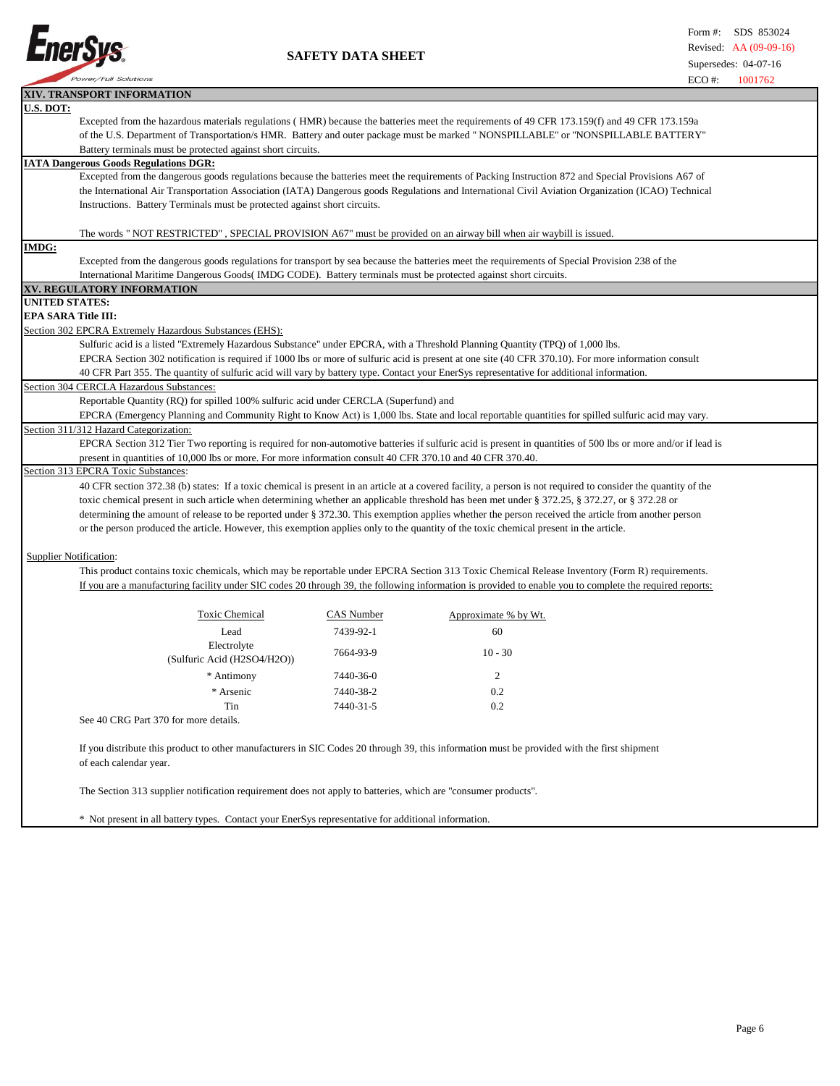

 **SAFETY DATA SHEET**

|                                                                                                               | XIV. TRANSPORT INFORMATION                                                                                                                                            |            |                                                                                                                                                                |  |  |  |
|---------------------------------------------------------------------------------------------------------------|-----------------------------------------------------------------------------------------------------------------------------------------------------------------------|------------|----------------------------------------------------------------------------------------------------------------------------------------------------------------|--|--|--|
| U.S. DOT:                                                                                                     |                                                                                                                                                                       |            |                                                                                                                                                                |  |  |  |
|                                                                                                               |                                                                                                                                                                       |            | Excepted from the hazardous materials regulations (HMR) because the batteries meet the requirements of 49 CFR 173.159(f) and 49 CFR 173.159a                   |  |  |  |
|                                                                                                               | of the U.S. Department of Transportation/s HMR. Battery and outer package must be marked "NONSPILLABLE" or "NONSPILLABLE BATTERY"                                     |            |                                                                                                                                                                |  |  |  |
|                                                                                                               | Battery terminals must be protected against short circuits.                                                                                                           |            |                                                                                                                                                                |  |  |  |
|                                                                                                               | <b>IATA Dangerous Goods Regulations DGR:</b>                                                                                                                          |            |                                                                                                                                                                |  |  |  |
|                                                                                                               |                                                                                                                                                                       |            | Excepted from the dangerous goods regulations because the batteries meet the requirements of Packing Instruction 872 and Special Provisions A67 of             |  |  |  |
|                                                                                                               |                                                                                                                                                                       |            | the International Air Transportation Association (IATA) Dangerous goods Regulations and International Civil Aviation Organization (ICAO) Technical             |  |  |  |
|                                                                                                               | Instructions. Battery Terminals must be protected against short circuits.                                                                                             |            |                                                                                                                                                                |  |  |  |
|                                                                                                               |                                                                                                                                                                       |            |                                                                                                                                                                |  |  |  |
|                                                                                                               | The words "NOT RESTRICTED", SPECIAL PROVISION A67" must be provided on an airway bill when air waybill is issued.                                                     |            |                                                                                                                                                                |  |  |  |
| <b>IMDG:</b>                                                                                                  |                                                                                                                                                                       |            |                                                                                                                                                                |  |  |  |
|                                                                                                               |                                                                                                                                                                       |            | Excepted from the dangerous goods regulations for transport by sea because the batteries meet the requirements of Special Provision 238 of the                 |  |  |  |
|                                                                                                               | International Maritime Dangerous Goods (IMDG CODE). Battery terminals must be protected against short circuits.                                                       |            |                                                                                                                                                                |  |  |  |
|                                                                                                               | XV. REGULATORY INFORMATION                                                                                                                                            |            |                                                                                                                                                                |  |  |  |
| UNITED STATES:                                                                                                |                                                                                                                                                                       |            |                                                                                                                                                                |  |  |  |
|                                                                                                               | EPA SARA Title III:                                                                                                                                                   |            |                                                                                                                                                                |  |  |  |
|                                                                                                               | Section 302 EPCRA Extremely Hazardous Substances (EHS):                                                                                                               |            |                                                                                                                                                                |  |  |  |
|                                                                                                               | Sulfuric acid is a listed "Extremely Hazardous Substance" under EPCRA, with a Threshold Planning Quantity (TPQ) of 1,000 lbs.                                         |            |                                                                                                                                                                |  |  |  |
|                                                                                                               |                                                                                                                                                                       |            | EPCRA Section 302 notification is required if 1000 lbs or more of sulfuric acid is present at one site (40 CFR 370.10). For more information consult           |  |  |  |
|                                                                                                               |                                                                                                                                                                       |            | 40 CFR Part 355. The quantity of sulfuric acid will vary by battery type. Contact your EnerSys representative for additional information.                      |  |  |  |
|                                                                                                               | Section 304 CERCLA Hazardous Substances:                                                                                                                              |            |                                                                                                                                                                |  |  |  |
|                                                                                                               | Reportable Quantity (RQ) for spilled 100% sulfuric acid under CERCLA (Superfund) and                                                                                  |            |                                                                                                                                                                |  |  |  |
|                                                                                                               |                                                                                                                                                                       |            | EPCRA (Emergency Planning and Community Right to Know Act) is 1,000 lbs. State and local reportable quantities for spilled sulfuric acid may vary.             |  |  |  |
|                                                                                                               | Section 311/312 Hazard Categorization:                                                                                                                                |            |                                                                                                                                                                |  |  |  |
|                                                                                                               |                                                                                                                                                                       |            | EPCRA Section 312 Tier Two reporting is required for non-automotive batteries if sulfuric acid is present in quantities of 500 lbs or more and/or if lead is   |  |  |  |
|                                                                                                               | present in quantities of 10,000 lbs or more. For more information consult 40 CFR 370.10 and 40 CFR 370.40.                                                            |            |                                                                                                                                                                |  |  |  |
|                                                                                                               | Section 313 EPCRA Toxic Substances:                                                                                                                                   |            |                                                                                                                                                                |  |  |  |
|                                                                                                               |                                                                                                                                                                       |            | 40 CFR section 372.38 (b) states: If a toxic chemical is present in an article at a covered facility, a person is not required to consider the quantity of the |  |  |  |
|                                                                                                               |                                                                                                                                                                       |            | toxic chemical present in such article when determining whether an applicable threshold has been met under § 372.25, § 372.27, or § 372.28 or                  |  |  |  |
|                                                                                                               |                                                                                                                                                                       |            | determining the amount of release to be reported under § 372.30. This exemption applies whether the person received the article from another person            |  |  |  |
|                                                                                                               | or the person produced the article. However, this exemption applies only to the quantity of the toxic chemical present in the article.                                |            |                                                                                                                                                                |  |  |  |
|                                                                                                               |                                                                                                                                                                       |            |                                                                                                                                                                |  |  |  |
|                                                                                                               | <b>Supplier Notification:</b>                                                                                                                                         |            |                                                                                                                                                                |  |  |  |
|                                                                                                               |                                                                                                                                                                       |            | This product contains toxic chemicals, which may be reportable under EPCRA Section 313 Toxic Chemical Release Inventory (Form R) requirements.                 |  |  |  |
|                                                                                                               |                                                                                                                                                                       |            | If you are a manufacturing facility under SIC codes 20 through 39, the following information is provided to enable you to complete the required reports:       |  |  |  |
|                                                                                                               |                                                                                                                                                                       |            |                                                                                                                                                                |  |  |  |
|                                                                                                               | <b>Toxic Chemical</b>                                                                                                                                                 | CAS Number | Approximate % by Wt.                                                                                                                                           |  |  |  |
|                                                                                                               | Lead                                                                                                                                                                  | 7439-92-1  | 60                                                                                                                                                             |  |  |  |
|                                                                                                               | Electrolyte                                                                                                                                                           |            |                                                                                                                                                                |  |  |  |
|                                                                                                               | (Sulfuric Acid (H2SO4/H2O))                                                                                                                                           | 7664-93-9  | $10 - 30$                                                                                                                                                      |  |  |  |
|                                                                                                               | * Antimony                                                                                                                                                            | 7440-36-0  | 2                                                                                                                                                              |  |  |  |
|                                                                                                               | * Arsenic                                                                                                                                                             | 7440-38-2  | 0.2                                                                                                                                                            |  |  |  |
|                                                                                                               | Tin                                                                                                                                                                   | 7440-31-5  | 0.2                                                                                                                                                            |  |  |  |
|                                                                                                               | See 40 CRG Part 370 for more details.                                                                                                                                 |            |                                                                                                                                                                |  |  |  |
|                                                                                                               |                                                                                                                                                                       |            |                                                                                                                                                                |  |  |  |
|                                                                                                               |                                                                                                                                                                       |            |                                                                                                                                                                |  |  |  |
|                                                                                                               | If you distribute this product to other manufacturers in SIC Codes 20 through 39, this information must be provided with the first shipment<br>of each calendar year. |            |                                                                                                                                                                |  |  |  |
|                                                                                                               |                                                                                                                                                                       |            |                                                                                                                                                                |  |  |  |
| The Section 313 supplier notification requirement does not apply to batteries, which are "consumer products". |                                                                                                                                                                       |            |                                                                                                                                                                |  |  |  |
|                                                                                                               |                                                                                                                                                                       |            |                                                                                                                                                                |  |  |  |
|                                                                                                               | * Not present in all battery types. Contact your EnerSys representative for additional information.                                                                   |            |                                                                                                                                                                |  |  |  |